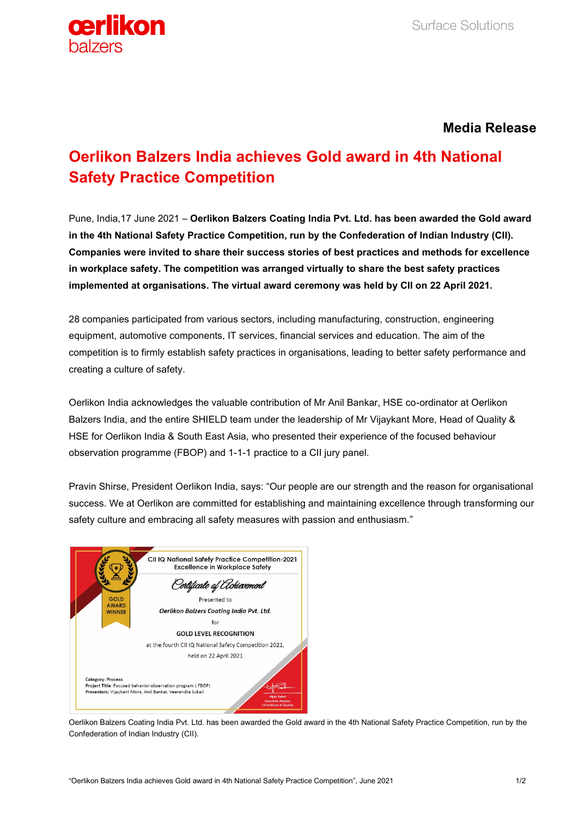

## **Media Release**

# **Oerlikon Balzers India achieves Gold award in 4th National Safety Practice Competition**

Pune, India,17 June 2021 – **Oerlikon Balzers Coating India Pvt. Ltd. has been awarded the Gold award in the 4th National Safety Practice Competition, run by the Confederation of Indian Industry (CII). Companies were invited to share their success stories of best practices and methods for excellence in workplace safety. The competition was arranged virtually to share the best safety practices implemented at organisations. The virtual award ceremony was held by CII on 22 April 2021.**

28 companies participated from various sectors, including manufacturing, construction, engineering equipment, automotive components, IT services, financial services and education. The aim of the competition is to firmly establish safety practices in organisations, leading to better safety performance and creating a culture of safety.

Oerlikon India acknowledges the valuable contribution of Mr Anil Bankar, HSE co-ordinator at Oerlikon Balzers India, and the entire SHIELD team under the leadership of Mr Vijaykant More, Head of Quality & HSE for Oerlikon India & South East Asia, who presented their experience of the focused behaviour observation programme (FBOP) and 1-1-1 practice to a CII jury panel.

Pravin Shirse, President Oerlikon India, says: "Our people are our strength and the reason for organisational success. We at Oerlikon are committed for establishing and maintaining excellence through transforming our safety culture and embracing all safety measures with passion and enthusiasm."



Oerlikon Balzers Coating India Pvt. Ltd. has been awarded the Gold award in the 4th National Safety Practice Competition, run by the Confederation of Indian Industry (CII).